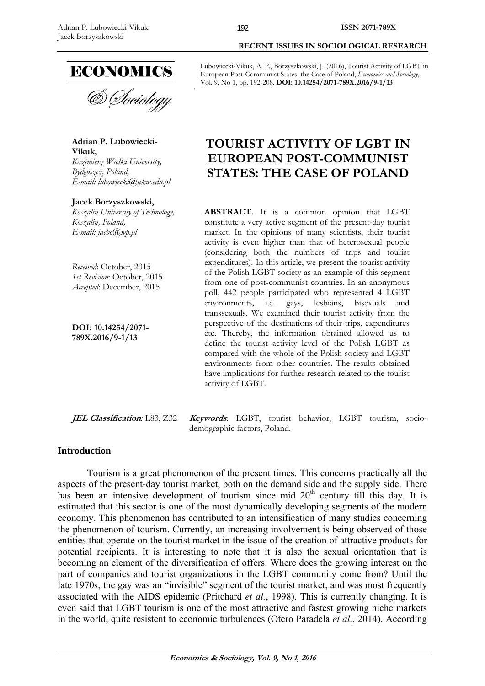

**Adrian P. Lubowiecki-Vikuk,**  *Kazimierz Wielki University, Bydgoszcz, Poland, E-mail: lubowiecki@ukw.edu.pl* 

**Jacek Borzyszkowski,**  *Koszalin University of Technology, Koszalin, Poland, E-mail: jacbo@wp.pl* 

*Received*: October, 2015 *1st Revision*: October, 2015 *Accepted*: December, 2015

**DOI: 10.14254/2071- 789X.2016/9-1/13**

**JEL Classification***:* L83, Z32 **Keywords**: LGBT, tourist behavior, LGBT tourism, sociodemographic factors, Poland.

### **Introduction**

Tourism is a great phenomenon of the present times. This concerns practically all the aspects of the present-day tourist market, both on the demand side and the supply side. There has been an intensive development of tourism since mid  $20<sup>th</sup>$  century till this day. It is estimated that this sector is one of the most dynamically developing segments of the modern economy. This phenomenon has contributed to an intensification of many studies concerning the phenomenon of tourism. Currently, an increasing involvement is being observed of those entities that operate on the tourist market in the issue of the creation of attractive products for potential recipients. It is interesting to note that it is also the sexual orientation that is becoming an element of the diversification of offers. Where does the growing interest on the part of companies and tourist organizations in the LGBT community come from? Until the late 1970s, the gay was an "invisible" segment of the tourist market, and was most frequently associated with the AIDS epidemic (Pritchard *et al.*, 1998). This is currently changing. It is even said that LGBT tourism is one of the most attractive and fastest growing niche markets in the world, quite resistent to economic turbulences (Otero Paradela *et al.*, 2014). According

 **RECENT ISSUES IN SOCIOLOGICAL RESEARCH** 

# **TOURIST ACTIVITY OF LGBT IN EUROPEAN POST-COMMUNIST STATES: THE CASE OF POLAND**

**ABSTRACT.** It is a common opinion that LGBT constitute a very active segment of the present-day tourist market. In the opinions of many scientists, their tourist activity is even higher than that of heterosexual people (considering both the numbers of trips and tourist expenditures). In this article, we present the tourist activity of the Polish LGBT society as an example of this segment from one of post-communist countries. In an anonymous poll, 442 people participated who represented 4 LGBT environments, i.e. gays, lesbians, bisexuals and transsexuals. We examined their tourist activity from the perspective of the destinations of their trips, expenditures etc. Thereby, the information obtained allowed us to define the tourist activity level of the Polish LGBT as compared with the whole of the Polish society and LGBT environments from other countries. The results obtained have implications for further research related to the tourist activity of LGBT.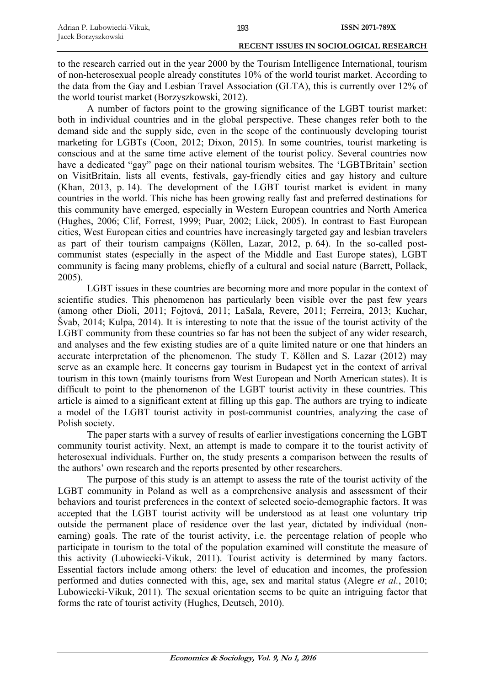to the research carried out in the year 2000 by the Tourism Intelligence International, tourism of non-heterosexual people already constitutes 10% of the world tourist market. According to the data from the Gay and Lesbian Travel Association (GLTA), this is currently over 12% of the world tourist market (Borzyszkowski, 2012).

A number of factors point to the growing significance of the LGBT tourist market: both in individual countries and in the global perspective. These changes refer both to the demand side and the supply side, even in the scope of the continuously developing tourist marketing for LGBTs (Coon, 2012; Dixon, 2015). In some countries, tourist marketing is conscious and at the same time active element of the tourist policy. Several countries now have a dedicated "gay" page on their national tourism websites. The 'LGBTBritain' section on VisitBritain, lists all events, festivals, gay-friendly cities and gay history and culture (Khan, 2013, p. 14). The development of the LGBT tourist market is evident in many countries in the world. This niche has been growing really fast and preferred destinations for this community have emerged, especially in Western European countries and North America (Hughes, 2006; Clif, Forrest, 1999; Puar, 2002; Lück, 2005). In contrast to East European cities, West European cities and countries have increasingly targeted gay and lesbian travelers as part of their tourism campaigns (Köllen, Lazar, 2012, p. 64). In the so-called postcommunist states (especially in the aspect of the Middle and East Europe states), LGBT community is facing many problems, chiefly of a cultural and social nature (Barrett, Pollack, 2005).

LGBT issues in these countries are becoming more and more popular in the context of scientific studies. This phenomenon has particularly been visible over the past few years (among other Dioli, 2011; Fojtová, 2011; LaSala, Revere, 2011; Ferreira, 2013; Kuchar, Švab, 2014; Kulpa, 2014). It is interesting to note that the issue of the tourist activity of the LGBT community from these countries so far has not been the subject of any wider research, and analyses and the few existing studies are of a quite limited nature or one that hinders an accurate interpretation of the phenomenon. The study T. Köllen and S. Lazar (2012) may serve as an example here. It concerns gay tourism in Budapest yet in the context of arrival tourism in this town (mainly tourisms from West European and North American states). It is difficult to point to the phenomenon of the LGBT tourist activity in these countries. This article is aimed to a significant extent at filling up this gap. The authors are trying to indicate a model of the LGBT tourist activity in post-communist countries, analyzing the case of Polish society.

The paper starts with a survey of results of earlier investigations concerning the LGBT community tourist activity. Next, an attempt is made to compare it to the tourist activity of heterosexual individuals. Further on, the study presents a comparison between the results of the authors' own research and the reports presented by other researchers.

The purpose of this study is an attempt to assess the rate of the tourist activity of the LGBT community in Poland as well as a comprehensive analysis and assessment of their behaviors and tourist preferences in the context of selected socio-demographic factors. It was accepted that the LGBT tourist activity will be understood as at least one voluntary trip outside the permanent place of residence over the last year, dictated by individual (nonearning) goals. The rate of the tourist activity, i.e. the percentage relation of people who participate in tourism to the total of the population examined will constitute the measure of this activity (Lubowiecki-Vikuk, 2011). Tourist activity is determined by many factors. Essential factors include among others: the level of education and incomes, the profession performed and duties connected with this, age, sex and marital status (Alegre *et al.*, 2010; Lubowiecki-Vikuk, 2011). The sexual orientation seems to be quite an intriguing factor that forms the rate of tourist activity (Hughes, Deutsch, 2010).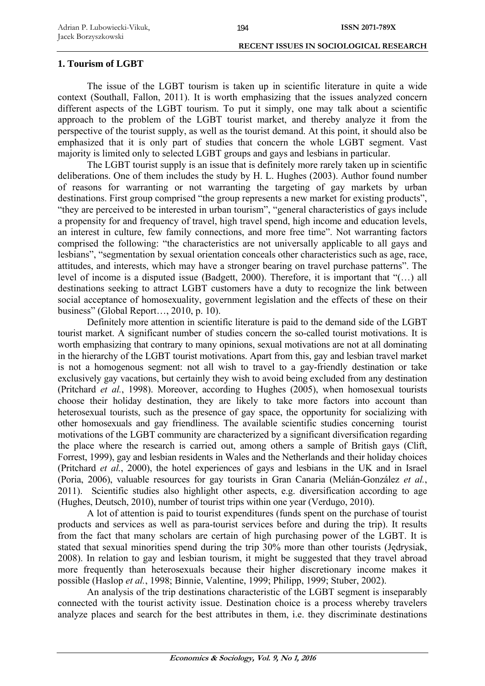## **1. Tourism of LGBT**

The issue of the LGBT tourism is taken up in scientific literature in quite a wide context (Southall, Fallon, 2011). It is worth emphasizing that the issues analyzed concern different aspects of the LGBT tourism. To put it simply, one may talk about a scientific approach to the problem of the LGBT tourist market, and thereby analyze it from the perspective of the tourist supply, as well as the tourist demand. At this point, it should also be emphasized that it is only part of studies that concern the whole LGBT segment. Vast majority is limited only to selected LGBT groups and gays and lesbians in particular.

The LGBT tourist supply is an issue that is definitely more rarely taken up in scientific deliberations. One of them includes the study by H. L. Hughes (2003). Author found number of reasons for warranting or not warranting the targeting of gay markets by urban destinations. First group comprised "the group represents a new market for existing products", "they are perceived to be interested in urban tourism", "general characteristics of gays include a propensity for and frequency of travel, high travel spend, high income and education levels, an interest in culture, few family connections, and more free time". Not warranting factors comprised the following: "the characteristics are not universally applicable to all gays and lesbians", "segmentation by sexual orientation conceals other characteristics such as age, race, attitudes, and interests, which may have a stronger bearing on travel purchase patterns". The level of income is a disputed issue (Badgett, 2000). Therefore, it is important that "(…) all destinations seeking to attract LGBT customers have a duty to recognize the link between social acceptance of homosexuality, government legislation and the effects of these on their business" (Global Report…, 2010, p. 10).

Definitely more attention in scientific literature is paid to the demand side of the LGBT tourist market. A significant number of studies concern the so-called tourist motivations. It is worth emphasizing that contrary to many opinions, sexual motivations are not at all dominating in the hierarchy of the LGBT tourist motivations. Apart from this, gay and lesbian travel market is not a homogenous segment: not all wish to travel to a gay-friendly destination or take exclusively gay vacations, but certainly they wish to avoid being excluded from any destination (Pritchard *et al.*, 1998). Moreover, according to Hughes (2005), when homosexual tourists choose their holiday destination, they are likely to take more factors into account than heterosexual tourists, such as the presence of gay space, the opportunity for socializing with other homosexuals and gay friendliness. The available scientific studies concerning tourist motivations of the LGBT community are characterized by a significant diversification regarding the place where the research is carried out, among others a sample of British gays (Clift, Forrest, 1999), gay and lesbian residents in Wales and the Netherlands and their holiday choices (Pritchard *et al.*, 2000), the hotel experiences of gays and lesbians in the UK and in Israel (Poria, 2006), valuable resources for gay tourists in Gran Canaria (Melián-González *et al.*, 2011). Scientific studies also highlight other aspects, e.g. diversification according to age (Hughes, Deutsch, 2010), number of tourist trips within one year (Verdugo, 2010).

A lot of attention is paid to tourist expenditures (funds spent on the purchase of tourist products and services as well as para-tourist services before and during the trip). It results from the fact that many scholars are certain of high purchasing power of the LGBT. It is stated that sexual minorities spend during the trip 30% more than other tourists (Jędrysiak, 2008). In relation to gay and lesbian tourism, it might be suggested that they travel abroad more frequently than heterosexuals because their higher discretionary income makes it possible (Haslop *et al.*, 1998; Binnie, Valentine, 1999; Philipp, 1999; Stuber, 2002).

An analysis of the trip destinations characteristic of the LGBT segment is inseparably connected with the tourist activity issue. Destination choice is a process whereby travelers analyze places and search for the best attributes in them, i.e. they discriminate destinations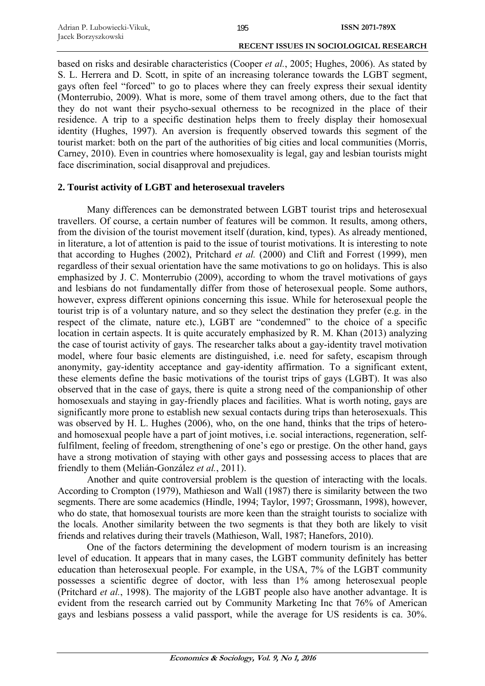based on risks and desirable characteristics (Cooper *et al.*, 2005; Hughes, 2006). As stated by S. L. Herrera and D. Scott, in spite of an increasing tolerance towards the LGBT segment, gays often feel "forced" to go to places where they can freely express their sexual identity (Monterrubio, 2009). What is more, some of them travel among others, due to the fact that they do not want their psycho-sexual otherness to be recognized in the place of their residence. A trip to a specific destination helps them to freely display their homosexual identity (Hughes, 1997). An aversion is frequently observed towards this segment of the tourist market: both on the part of the authorities of big cities and local communities (Morris, Carney, 2010). Even in countries where homosexuality is legal, gay and lesbian tourists might face discrimination, social disapproval and prejudices.

# **2. Tourist activity of LGBT and heterosexual travelers**

Many differences can be demonstrated between LGBT tourist trips and heterosexual travellers. Of course, a certain number of features will be common. It results, among others, from the division of the tourist movement itself (duration, kind, types). As already mentioned, in literature, a lot of attention is paid to the issue of tourist motivations. It is interesting to note that according to Hughes (2002), Pritchard *et al.* (2000) and Clift and Forrest (1999), men regardless of their sexual orientation have the same motivations to go on holidays. This is also emphasized by J. C. Monterrubio (2009), according to whom the travel motivations of gays and lesbians do not fundamentally differ from those of heterosexual people. Some authors, however, express different opinions concerning this issue. While for heterosexual people the tourist trip is of a voluntary nature, and so they select the destination they prefer (e.g. in the respect of the climate, nature etc.), LGBT are "condemned" to the choice of a specific location in certain aspects. It is quite accurately emphasized by R. M. Khan (2013) analyzing the case of tourist activity of gays. The researcher talks about a gay-identity travel motivation model, where four basic elements are distinguished, i.e. need for safety, escapism through anonymity, gay-identity acceptance and gay-identity affirmation. To a significant extent, these elements define the basic motivations of the tourist trips of gays (LGBT). It was also observed that in the case of gays, there is quite a strong need of the companionship of other homosexuals and staying in gay-friendly places and facilities. What is worth noting, gays are significantly more prone to establish new sexual contacts during trips than heterosexuals. This was observed by H. L. Hughes (2006), who, on the one hand, thinks that the trips of heteroand homosexual people have a part of joint motives, i.e. social interactions, regeneration, selffulfilment, feeling of freedom, strengthening of one's ego or prestige. On the other hand, gays have a strong motivation of staying with other gays and possessing access to places that are friendly to them (Melián-González *et al.*, 2011).

Another and quite controversial problem is the question of interacting with the locals. According to Crompton (1979), Mathieson and Wall (1987) there is similarity between the two segments. There are some academics (Hindle, 1994; Taylor, 1997; Grossmann, 1998), however, who do state, that homosexual tourists are more keen than the straight tourists to socialize with the locals. Another similarity between the two segments is that they both are likely to visit friends and relatives during their travels (Mathieson, Wall, 1987; Hanefors, 2010).

One of the factors determining the development of modern tourism is an increasing level of education. It appears that in many cases, the LGBT community definitely has better education than heterosexual people. For example, in the USA, 7% of the LGBT community possesses a scientific degree of doctor, with less than 1% among heterosexual people (Pritchard *et al.*, 1998). The majority of the LGBT people also have another advantage. It is evident from the research carried out by Community Marketing Inc that 76% of American gays and lesbians possess a valid passport, while the average for US residents is ca. 30%.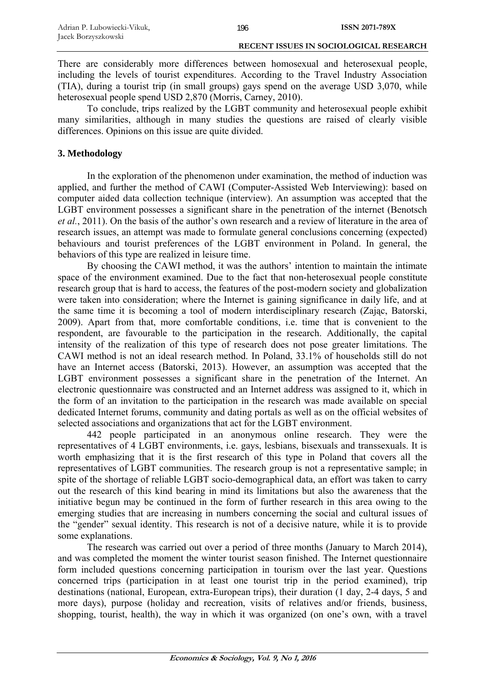There are considerably more differences between homosexual and heterosexual people, including the levels of tourist expenditures. According to the Travel Industry Association (TIA), during a tourist trip (in small groups) gays spend on the average USD 3,070, while heterosexual people spend USD 2,870 (Morris, Carney, 2010).

To conclude, trips realized by the LGBT community and heterosexual people exhibit many similarities, although in many studies the questions are raised of clearly visible differences. Opinions on this issue are quite divided.

# **3. Methodology**

In the exploration of the phenomenon under examination, the method of induction was applied, and further the method of CAWI (Computer-Assisted Web Interviewing): based on computer aided data collection technique (interview). An assumption was accepted that the LGBT environment possesses a significant share in the penetration of the internet (Benotsch *et al.*, 2011). On the basis of the author's own research and a review of literature in the area of research issues, an attempt was made to formulate general conclusions concerning (expected) behaviours and tourist preferences of the LGBT environment in Poland. In general, the behaviors of this type are realized in leisure time.

By choosing the CAWI method, it was the authors' intention to maintain the intimate space of the environment examined. Due to the fact that non-heterosexual people constitute research group that is hard to access, the features of the post-modern society and globalization were taken into consideration; where the Internet is gaining significance in daily life, and at the same time it is becoming a tool of modern interdisciplinary research (Zając, Batorski, 2009). Apart from that, more comfortable conditions, i.e. time that is convenient to the respondent, are favourable to the participation in the research. Additionally, the capital intensity of the realization of this type of research does not pose greater limitations. The CAWI method is not an ideal research method. In Poland, 33.1% of households still do not have an Internet access (Batorski, 2013). However, an assumption was accepted that the LGBT environment possesses a significant share in the penetration of the Internet. An electronic questionnaire was constructed and an Internet address was assigned to it, which in the form of an invitation to the participation in the research was made available on special dedicated Internet forums, community and dating portals as well as on the official websites of selected associations and organizations that act for the LGBT environment.

442 people participated in an anonymous online research. They were the representatives of 4 LGBT environments, i.e. gays, lesbians, bisexuals and transsexuals. It is worth emphasizing that it is the first research of this type in Poland that covers all the representatives of LGBT communities. The research group is not a representative sample; in spite of the shortage of reliable LGBT socio-demographical data, an effort was taken to carry out the research of this kind bearing in mind its limitations but also the awareness that the initiative begun may be continued in the form of further research in this area owing to the emerging studies that are increasing in numbers concerning the social and cultural issues of the "gender" sexual identity. This research is not of a decisive nature, while it is to provide some explanations.

The research was carried out over a period of three months (January to March 2014), and was completed the moment the winter tourist season finished. The Internet questionnaire form included questions concerning participation in tourism over the last year. Questions concerned trips (participation in at least one tourist trip in the period examined), trip destinations (national, European, extra-European trips), their duration (1 day, 2-4 days, 5 and more days), purpose (holiday and recreation, visits of relatives and/or friends, business, shopping, tourist, health), the way in which it was organized (on one's own, with a travel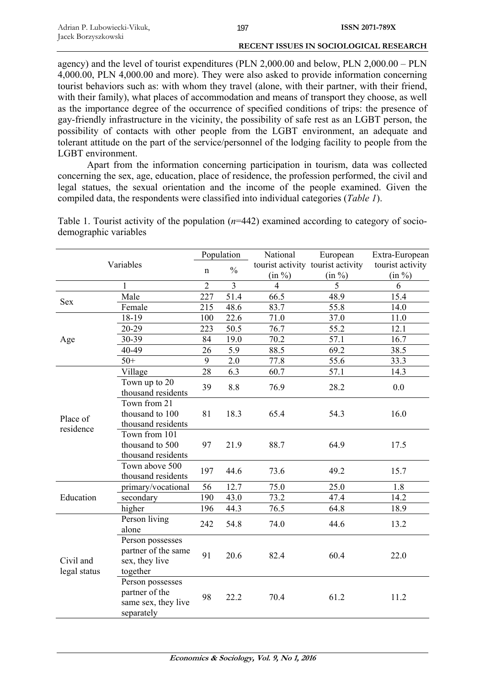agency) and the level of tourist expenditures (PLN 2,000.00 and below, PLN 2,000.00 – PLN 4,000.00, PLN 4,000.00 and more). They were also asked to provide information concerning tourist behaviors such as: with whom they travel (alone, with their partner, with their friend, with their family), what places of accommodation and means of transport they choose, as well as the importance degree of the occurrence of specified conditions of trips: the presence of gay-friendly infrastructure in the vicinity, the possibility of safe rest as an LGBT person, the possibility of contacts with other people from the LGBT environment, an adequate and tolerant attitude on the part of the service/personnel of the lodging facility to people from the LGBT environment.

Apart from the information concerning participation in tourism, data was collected concerning the sex, age, education, place of residence, the profession performed, the civil and legal statues, the sexual orientation and the income of the people examined. Given the compiled data, the respondents were classified into individual categories (*Table 1*).

| Variables                 |                                                                         | Population     |                  | National       | European                          | Extra-European   |
|---------------------------|-------------------------------------------------------------------------|----------------|------------------|----------------|-----------------------------------|------------------|
|                           |                                                                         | $\mathbf n$    | $\frac{0}{0}$    |                | tourist activity tourist activity | tourist activity |
|                           |                                                                         |                |                  | (in %)         | (in %)                            | (in %)           |
|                           | 1                                                                       | $\overline{2}$ | $\overline{3}$   | $\overline{4}$ | 5                                 | 6                |
| <b>Sex</b>                | Male                                                                    | 227            | 51.4             | 66.5           | 48.9                              | 15.4             |
|                           | Female                                                                  | 215            | 48.6             | 83.7           | 55.8                              | 14.0             |
| Age                       | 18-19                                                                   | 100            | 22.6             | 71.0           | 37.0                              | 11.0             |
|                           | 20-29                                                                   | 223            | 50.5             | 76.7           | 55.2                              | 12.1             |
|                           | 30-39                                                                   | 84             | 19.0             | 70.2           | 57.1                              | 16.7             |
|                           | 40-49                                                                   | 26             | 5.9              | 88.5           | 69.2                              | 38.5             |
|                           | $50+$                                                                   | $\overline{9}$ | $\overline{2.0}$ | 77.8           | 55.6                              | 33.3             |
|                           | Village                                                                 | 28             | 6.3              | 60.7           | 57.1                              | 14.3             |
| Place of<br>residence     | Town up to 20<br>thousand residents                                     | 39             | 8.8              | 76.9           | 28.2                              | 0.0              |
|                           | Town from 21<br>thousand to 100<br>thousand residents                   | 81             | 18.3             | 65.4           | 54.3                              | 16.0             |
|                           | Town from 101<br>thousand to 500<br>thousand residents                  | 97             | 21.9             | 88.7           | 64.9                              | 17.5             |
|                           | Town above 500<br>thousand residents                                    | 197            | 44.6             | 73.6           | 49.2                              | 15.7             |
| Education                 | primary/vocational                                                      | 56             | 12.7             | 75.0           | 25.0                              | 1.8              |
|                           | secondary                                                               | 190            | 43.0             | 73.2           | 47.4                              | 14.2             |
|                           | higher                                                                  | 196            | 44.3             | 76.5           | 64.8                              | 18.9             |
| Civil and<br>legal status | Person living<br>alone                                                  | 242            | 54.8             | 74.0           | 44.6                              | 13.2             |
|                           | Person possesses<br>partner of the same<br>sex, they live<br>together   | 91             | 20.6             | 82.4           | 60.4                              | 22.0             |
|                           | Person possesses<br>partner of the<br>same sex, they live<br>separately | 98             | 22.2             | 70.4           | 61.2                              | 11.2             |

Table 1. Tourist activity of the population (*n*=442) examined according to category of sociodemographic variables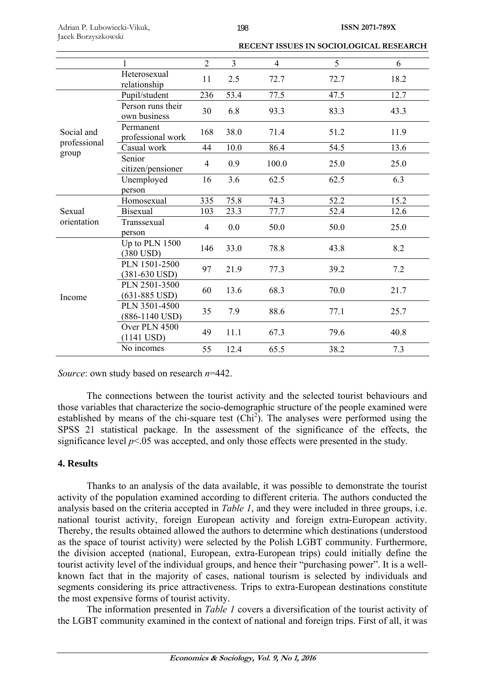|                                     | 1                                     | $\overline{2}$ | $\overline{3}$ | $\overline{4}$ | 5    | 6    |
|-------------------------------------|---------------------------------------|----------------|----------------|----------------|------|------|
|                                     | Heterosexual<br>relationship          | 11             | 2.5            | 72.7           | 72.7 | 18.2 |
| Social and<br>professional<br>group | Pupil/student                         | 236            | 53.4           | 77.5           | 47.5 | 12.7 |
|                                     | Person runs their<br>own business     | 30             | 6.8            | 93.3           | 83.3 | 43.3 |
|                                     | Permanent<br>professional work        | 168            | 38.0           | 71.4           | 51.2 | 11.9 |
|                                     | Casual work                           | 44             | 10.0           | 86.4           | 54.5 | 13.6 |
|                                     | Senior<br>citizen/pensioner           | $\overline{4}$ | 0.9            | 100.0          | 25.0 | 25.0 |
|                                     | Unemployed                            | 16             | 3.6            | 62.5           | 62.5 | 6.3  |
|                                     | person                                |                |                |                |      |      |
| Sexual<br>orientation               | Homosexual                            | 335            | 75.8           | 74.3           | 52.2 | 15.2 |
|                                     | <b>Bisexual</b>                       | 103            | 23.3           | 77.7           | 52.4 | 12.6 |
|                                     | Transsexual<br>person                 | $\overline{4}$ | 0.0            | 50.0           | 50.0 | 25.0 |
| Income                              | Up to PLN 1500<br>(380 USD)           | 146            | 33.0           | 78.8           | 43.8 | 8.2  |
|                                     | PLN 1501-2500<br>$(381-630$ USD)      | 97             | 21.9           | 77.3           | 39.2 | 7.2  |
|                                     | PLN 2501-3500<br>$(631 - 885$ USD)    | 60             | 13.6           | 68.3           | 70.0 | 21.7 |
|                                     | PLN 3501-4500<br>$(886-1140$ USD)     | 35             | 7.9            | 88.6           | 77.1 | 25.7 |
|                                     | Over PLN 4500<br>$(1141 \text{ USD})$ | 49             | 11.1           | 67.3           | 79.6 | 40.8 |
|                                     | No incomes                            | 55             | 12.4           | 65.5           | 38.2 | 7.3  |

*Source*: own study based on research *n*=442.

The connections between the tourist activity and the selected tourist behaviours and those variables that characterize the socio-demographic structure of the people examined were established by means of the chi-square test  $(\overrightarrow{Chi}^2)$ . The analyses were performed using the SPSS 21 statistical package. In the assessment of the significance of the effects, the significance level  $p<05$  was accepted, and only those effects were presented in the study.

# **4. Results**

Thanks to an analysis of the data available, it was possible to demonstrate the tourist activity of the population examined according to different criteria. The authors conducted the analysis based on the criteria accepted in *Table 1*, and they were included in three groups, i.e. national tourist activity, foreign European activity and foreign extra-European activity. Thereby, the results obtained allowed the authors to determine which destinations (understood as the space of tourist activity) were selected by the Polish LGBT community. Furthermore, the division accepted (national, European, extra-European trips) could initially define the tourist activity level of the individual groups, and hence their "purchasing power". It is a wellknown fact that in the majority of cases, national tourism is selected by individuals and segments considering its price attractiveness. Trips to extra-European destinations constitute the most expensive forms of tourist activity.

The information presented in *Table 1* covers a diversification of the tourist activity of the LGBT community examined in the context of national and foreign trips. First of all, it was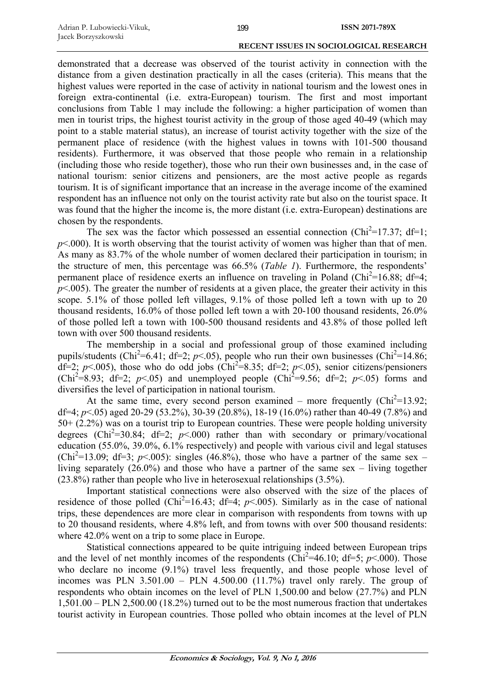demonstrated that a decrease was observed of the tourist activity in connection with the distance from a given destination practically in all the cases (criteria). This means that the highest values were reported in the case of activity in national tourism and the lowest ones in foreign extra-continental (i.e. extra-European) tourism. The first and most important conclusions from Table 1 may include the following: a higher participation of women than men in tourist trips, the highest tourist activity in the group of those aged 40-49 (which may point to a stable material status), an increase of tourist activity together with the size of the permanent place of residence (with the highest values in towns with 101-500 thousand residents). Furthermore, it was observed that those people who remain in a relationship (including those who reside together), those who run their own businesses and, in the case of national tourism: senior citizens and pensioners, are the most active people as regards tourism. It is of significant importance that an increase in the average income of the examined respondent has an influence not only on the tourist activity rate but also on the tourist space. It was found that the higher the income is, the more distant (i.e. extra-European) destinations are chosen by the respondents.

The sex was the factor which possessed an essential connection ( $Chi^2=17.37$ ; df=1;  $p<.000$ ). It is worth observing that the tourist activity of women was higher than that of men. As many as 83.7% of the whole number of women declared their participation in tourism; in the structure of men, this percentage was 66.5% (*Table 1*). Furthermore, the respondents' permanent place of residence exerts an influence on traveling in Poland ( $Chi^2=16.88$ ; df=4;  $p<.005$ ). The greater the number of residents at a given place, the greater their activity in this scope. 5.1% of those polled left villages, 9.1% of those polled left a town with up to 20 thousand residents, 16.0% of those polled left town a with 20-100 thousand residents, 26.0% of those polled left a town with 100-500 thousand residents and 43.8% of those polled left town with over 500 thousand residents.

The membership in a social and professional group of those examined including pupils/students (Chi<sup>2</sup>=6.41; df=2;  $p$ <.05), people who run their own businesses (Chi<sup>2</sup>=14.86;  $df=2$ ;  $p<.005$ ), those who do odd jobs (Chi<sup>2</sup>=8.35; df=2;  $p<.05$ ), senior citizens/pensioners (Chi<sup>2</sup>=8.93; df=2; *p*<.05) and unemployed people (Chi<sup>2</sup>=9.56; df=2; *p*<.05) forms and diversifies the level of participation in national tourism.

At the same time, every second person examined – more frequently  $(Chi^2=13.92;$ df=4; *p*<.05) aged 20-29 (53.2%), 30-39 (20.8%), 18-19 (16.0%) rather than 40-49 (7.8%) and 50+ (2.2%) was on a tourist trip to European countries. These were people holding university degrees (Chi<sup>2</sup>=30.84; df=2;  $p$ <.000) rather than with secondary or primary/vocational education (55.0%, 39.0%, 6.1% respectively) and people with various civil and legal statuses (Chi<sup>2</sup>=13.09; df=3;  $p$ <.005): singles (46.8%), those who have a partner of the same sex – living separately (26.0%) and those who have a partner of the same sex – living together (23.8%) rather than people who live in heterosexual relationships (3.5%).

Important statistical connections were also observed with the size of the places of residence of those polled (Chi<sup>2</sup>=16.43; df=4;  $p$ <.005). Similarly as in the case of national trips, these dependences are more clear in comparison with respondents from towns with up to 20 thousand residents, where 4.8% left, and from towns with over 500 thousand residents: where 42.0% went on a trip to some place in Europe.

Statistical connections appeared to be quite intriguing indeed between European trips and the level of net monthly incomes of the respondents ( $Chi^2=46.10$ ;  $df=5$ ;  $p<.000$ ). Those who declare no income  $(9.1\%)$  travel less frequently, and those people whose level of incomes was PLN  $3.501.00$  – PLN  $4.500.00$   $(11.7%)$  travel only rarely. The group of respondents who obtain incomes on the level of PLN 1,500.00 and below (27.7%) and PLN 1,501.00 – PLN 2,500.00 (18.2%) turned out to be the most numerous fraction that undertakes tourist activity in European countries. Those polled who obtain incomes at the level of PLN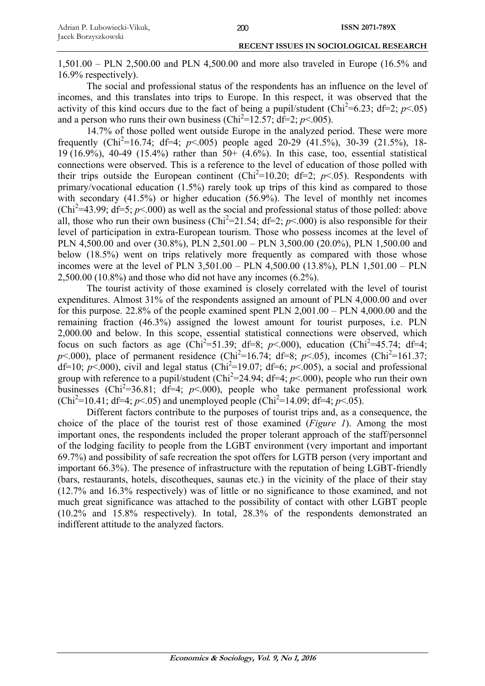1,501.00 – PLN 2,500.00 and PLN 4,500.00 and more also traveled in Europe (16.5% and 16.9% respectively).

The social and professional status of the respondents has an influence on the level of incomes, and this translates into trips to Europe. In this respect, it was observed that the activity of this kind occurs due to the fact of being a pupil/student (Chi<sup>2</sup>=6.23; df=2;  $p$ <.05) and a person who runs their own business (Chi<sup>2</sup>=12.57; df=2;  $p$ <.005).

14.7% of those polled went outside Europe in the analyzed period. These were more frequently (Chi<sup>2</sup>=16.74; df=4; *p*<.005) people aged 20-29 (41.5%), 30-39 (21.5%), 18-19 (16.9%), 40-49 (15.4%) rather than 50+ (4.6%). In this case, too, essential statistical connections were observed. This is a reference to the level of education of those polled with their trips outside the European continent (Chi<sup>2</sup>=10.20; df=2;  $p$ <.05). Respondents with primary/vocational education (1.5%) rarely took up trips of this kind as compared to those with secondary (41.5%) or higher education (56.9%). The level of monthly net incomes  $(Chi<sup>2</sup>=43.99; df=5; p<.000)$  as well as the social and professional status of those polled: above all, those who run their own business (Chi<sup>2</sup>=21.54; df=2;  $p$ <.000) is also responsible for their level of participation in extra-European tourism. Those who possess incomes at the level of PLN 4,500.00 and over (30.8%), PLN 2,501.00 – PLN 3,500.00 (20.0%), PLN 1,500.00 and below (18.5%) went on trips relatively more frequently as compared with those whose incomes were at the level of PLN 3,501.00 – PLN 4,500.00 (13.8%), PLN 1,501.00 – PLN 2,500.00 (10.8%) and those who did not have any incomes (6.2%).

The tourist activity of those examined is closely correlated with the level of tourist expenditures. Almost 31% of the respondents assigned an amount of PLN 4,000.00 and over for this purpose. 22.8% of the people examined spent PLN 2,001.00 – PLN 4,000.00 and the remaining fraction (46.3%) assigned the lowest amount for tourist purposes, i.e. PLN 2,000.00 and below. In this scope, essential statistical connections were observed, which focus on such factors as age (Chi<sup>2</sup>=51.39; df=8;  $p$ <.000), education (Chi<sup>2</sup>=45.74; df=4;  $p$ <.000), place of permanent residence (Chi<sup>2</sup>=16.74; df=8;  $p$ <.05), incomes (Chi<sup>2</sup>=161.37; df=10;  $p$ <.000), civil and legal status (Chi<sup>2</sup>=19.07; df=6;  $p$ <.005), a social and professional group with reference to a pupil/student ( $Chi^2 = 24.94$ ; df=4;  $p < .000$ ), people who run their own businesses (Chi<sup>2</sup>=36.81; df=4;  $p$ <.000), people who take permanent professional work  $(Chi^2=10.41; df=4; p<.05)$  and unemployed people  $(Chi^2=14.09; df=4; p<.05)$ .

Different factors contribute to the purposes of tourist trips and, as a consequence, the choice of the place of the tourist rest of those examined (*Figure 1*). Among the most important ones, the respondents included the proper tolerant approach of the staff/personnel of the lodging facility to people from the LGBT environment (very important and important 69.7%) and possibility of safe recreation the spot offers for LGTB person (very important and important 66.3%). The presence of infrastructure with the reputation of being LGBT-friendly (bars, restaurants, hotels, discotheques, saunas etc.) in the vicinity of the place of their stay (12.7% and 16.3% respectively) was of little or no significance to those examined, and not much great significance was attached to the possibility of contact with other LGBT people (10.2% and 15.8% respectively). In total, 28.3% of the respondents demonstrated an indifferent attitude to the analyzed factors.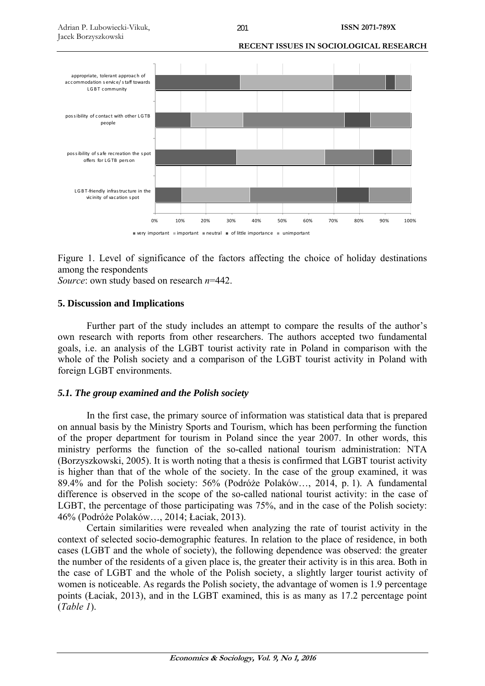

Figure 1. Level of significance of the factors affecting the choice of holiday destinations among the respondents

*Source*: own study based on research *n*=442.

# **5. Discussion and Implications**

Further part of the study includes an attempt to compare the results of the author's own research with reports from other researchers. The authors accepted two fundamental goals, i.e. an analysis of the LGBT tourist activity rate in Poland in comparison with the whole of the Polish society and a comparison of the LGBT tourist activity in Poland with foreign LGBT environments.

# *5.1. The group examined and the Polish society*

In the first case, the primary source of information was statistical data that is prepared on annual basis by the Ministry Sports and Tourism, which has been performing the function of the proper department for tourism in Poland since the year 2007. In other words, this ministry performs the function of the so-called national tourism administration: NTA (Borzyszkowski, 2005). It is worth noting that a thesis is confirmed that LGBT tourist activity is higher than that of the whole of the society. In the case of the group examined, it was 89.4% and for the Polish society: 56% (Podróże Polaków…, 2014, p. 1). A fundamental difference is observed in the scope of the so-called national tourist activity: in the case of LGBT, the percentage of those participating was 75%, and in the case of the Polish society: 46% (Podróże Polaków…, 2014; Łaciak, 2013).

Certain similarities were revealed when analyzing the rate of tourist activity in the context of selected socio-demographic features. In relation to the place of residence, in both cases (LGBT and the whole of society), the following dependence was observed: the greater the number of the residents of a given place is, the greater their activity is in this area. Both in the case of LGBT and the whole of the Polish society, a slightly larger tourist activity of women is noticeable. As regards the Polish society, the advantage of women is 1.9 percentage points (Łaciak, 2013), and in the LGBT examined, this is as many as 17.2 percentage point (*Table 1*).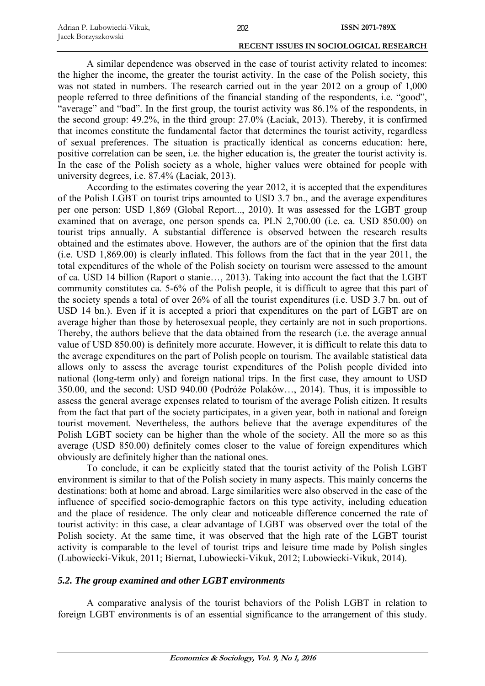A similar dependence was observed in the case of tourist activity related to incomes: the higher the income, the greater the tourist activity. In the case of the Polish society, this was not stated in numbers. The research carried out in the year 2012 on a group of 1,000 people referred to three definitions of the financial standing of the respondents, i.e. "good", "average" and "bad". In the first group, the tourist activity was 86.1% of the respondents, in the second group: 49.2%, in the third group: 27.0% (Łaciak, 2013). Thereby, it is confirmed that incomes constitute the fundamental factor that determines the tourist activity, regardless of sexual preferences. The situation is practically identical as concerns education: here, positive correlation can be seen, i.e. the higher education is, the greater the tourist activity is. In the case of the Polish society as a whole, higher values were obtained for people with university degrees, i.e. 87.4% (Łaciak, 2013).

According to the estimates covering the year 2012, it is accepted that the expenditures of the Polish LGBT on tourist trips amounted to USD 3.7 bn., and the average expenditures per one person: USD 1,869 (Global Report..., 2010). It was assessed for the LGBT group examined that on average, one person spends ca. PLN 2,700.00 (i.e. ca. USD 850.00) on tourist trips annually. A substantial difference is observed between the research results obtained and the estimates above. However, the authors are of the opinion that the first data (i.e. USD 1,869.00) is clearly inflated. This follows from the fact that in the year 2011, the total expenditures of the whole of the Polish society on tourism were assessed to the amount of ca. USD 14 billion (Raport o stanie…, 2013). Taking into account the fact that the LGBT community constitutes ca. 5-6% of the Polish people, it is difficult to agree that this part of the society spends a total of over 26% of all the tourist expenditures (i.e. USD 3.7 bn. out of USD 14 bn.). Even if it is accepted a priori that expenditures on the part of LGBT are on average higher than those by heterosexual people, they certainly are not in such proportions. Thereby, the authors believe that the data obtained from the research (i.e. the average annual value of USD 850.00) is definitely more accurate. However, it is difficult to relate this data to the average expenditures on the part of Polish people on tourism. The available statistical data allows only to assess the average tourist expenditures of the Polish people divided into national (long-term only) and foreign national trips. In the first case, they amount to USD 350.00, and the second: USD 940.00 (Podróże Polaków…, 2014). Thus, it is impossible to assess the general average expenses related to tourism of the average Polish citizen. It results from the fact that part of the society participates, in a given year, both in national and foreign tourist movement. Nevertheless, the authors believe that the average expenditures of the Polish LGBT society can be higher than the whole of the society. All the more so as this average (USD 850.00) definitely comes closer to the value of foreign expenditures which obviously are definitely higher than the national ones.

To conclude, it can be explicitly stated that the tourist activity of the Polish LGBT environment is similar to that of the Polish society in many aspects. This mainly concerns the destinations: both at home and abroad. Large similarities were also observed in the case of the influence of specified socio-demographic factors on this type activity, including education and the place of residence. The only clear and noticeable difference concerned the rate of tourist activity: in this case, a clear advantage of LGBT was observed over the total of the Polish society. At the same time, it was observed that the high rate of the LGBT tourist activity is comparable to the level of tourist trips and leisure time made by Polish singles (Lubowiecki-Vikuk, 2011; Biernat, Lubowiecki-Vikuk, 2012; Lubowiecki-Vikuk, 2014).

# *5.2. The group examined and other LGBT environments*

A comparative analysis of the tourist behaviors of the Polish LGBT in relation to foreign LGBT environments is of an essential significance to the arrangement of this study.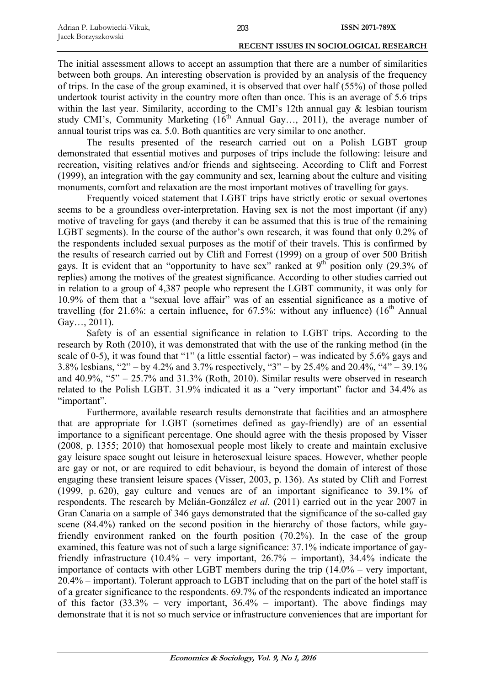The initial assessment allows to accept an assumption that there are a number of similarities between both groups. An interesting observation is provided by an analysis of the frequency of trips. In the case of the group examined, it is observed that over half (55%) of those polled undertook tourist activity in the country more often than once. This is an average of 5.6 trips within the last year. Similarity, according to the CMI's 12th annual gay & lesbian tourism study CMI's, Community, according to the critical matter of  $\frac{1}{2}$  and  $\frac{1}{2}$  are  $\frac{1}{2}$  and  $\frac{1}{2}$  are  $\frac{1}{2}$  average number of annual tourist trips was ca. 5.0. Both quantities are very similar to one another.

The results presented of the research carried out on a Polish LGBT group demonstrated that essential motives and purposes of trips include the following: leisure and recreation, visiting relatives and/or friends and sightseeing. According to Clift and Forrest (1999), an integration with the gay community and sex, learning about the culture and visiting monuments, comfort and relaxation are the most important motives of travelling for gays.

Frequently voiced statement that LGBT trips have strictly erotic or sexual overtones seems to be a groundless over-interpretation. Having sex is not the most important (if any) motive of traveling for gays (and thereby it can be assumed that this is true of the remaining LGBT segments). In the course of the author's own research, it was found that only 0.2% of the respondents included sexual purposes as the motif of their travels. This is confirmed by the results of research carried out by Clift and Forrest (1999) on a group of over 500 British gays. It is evident that an "opportunity to have sex" ranked at  $9<sup>th</sup>$  position only (29.3% of replies) among the motives of the greatest significance. According to other studies carried out in relation to a group of 4,387 people who represent the LGBT community, it was only for 10.9% of them that a "sexual love affair" was of an essential significance as a motive of travelling (for 21.6%: a certain influence, for  $67.5\%$ : without any influence) ( $16<sup>th</sup>$  Annual Gay…, 2011).

Safety is of an essential significance in relation to LGBT trips. According to the research by Roth (2010), it was demonstrated that with the use of the ranking method (in the scale of 0-5), it was found that "1" (a little essential factor) – was indicated by 5.6% gays and 3.8% lesbians, "2" – by 4.2% and 3.7% respectively, "3" – by 25.4% and 20.4%, "4" – 39.1% and  $40.9\%$ , "5" – 25.7% and  $31.3\%$  (Roth, 2010). Similar results were observed in research related to the Polish LGBT. 31.9% indicated it as a "very important" factor and 34.4% as "important".

Furthermore, available research results demonstrate that facilities and an atmosphere that are appropriate for LGBT (sometimes defined as gay-friendly) are of an essential importance to a significant percentage. One should agree with the thesis proposed by Visser (2008, p. 1355; 2010) that homosexual people most likely to create and maintain exclusive gay leisure space sought out leisure in heterosexual leisure spaces. However, whether people are gay or not, or are required to edit behaviour, is beyond the domain of interest of those engaging these transient leisure spaces (Visser, 2003, p. 136). As stated by Clift and Forrest (1999, p. 620), gay culture and venues are of an important significance to 39.1% of respondents. The research by Melián-González *et al.* (2011) carried out in the year 2007 in Gran Canaria on a sample of 346 gays demonstrated that the significance of the so-called gay scene (84.4%) ranked on the second position in the hierarchy of those factors, while gayfriendly environment ranked on the fourth position (70.2%). In the case of the group examined, this feature was not of such a large significance: 37.1% indicate importance of gayfriendly infrastructure  $(10.4\% - \text{very important}, 26.7\% - \text{important}), 34.4\%$  indicate the importance of contacts with other LGBT members during the trip (14.0% – very important, 20.4% – important). Tolerant approach to LGBT including that on the part of the hotel staff is of a greater significance to the respondents. 69.7% of the respondents indicated an importance of this factor  $(33.3\% - \text{very important}, 36.4\% - \text{important})$ . The above findings may demonstrate that it is not so much service or infrastructure conveniences that are important for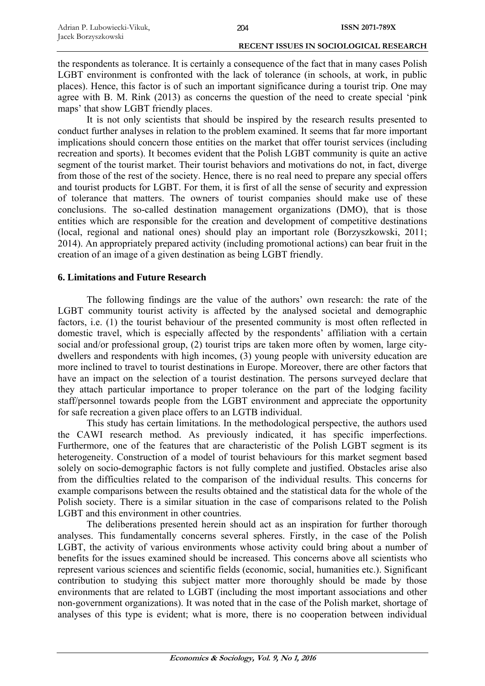| Adrian P. Lubowiecki-Vikuk, | 204 | ISSN 2071-789X |
|-----------------------------|-----|----------------|
| Jacek Borzyszkowski         |     |                |

the respondents as tolerance. It is certainly a consequence of the fact that in many cases Polish LGBT environment is confronted with the lack of tolerance (in schools, at work, in public places). Hence, this factor is of such an important significance during a tourist trip. One may agree with B. M. Rink (2013) as concerns the question of the need to create special 'pink maps' that show LGBT friendly places.

It is not only scientists that should be inspired by the research results presented to conduct further analyses in relation to the problem examined. It seems that far more important implications should concern those entities on the market that offer tourist services (including recreation and sports). It becomes evident that the Polish LGBT community is quite an active segment of the tourist market. Their tourist behaviors and motivations do not, in fact, diverge from those of the rest of the society. Hence, there is no real need to prepare any special offers and tourist products for LGBT. For them, it is first of all the sense of security and expression of tolerance that matters. The owners of tourist companies should make use of these conclusions. The so-called destination management organizations (DMO), that is those entities which are responsible for the creation and development of competitive destinations (local, regional and national ones) should play an important role (Borzyszkowski, 2011; 2014). An appropriately prepared activity (including promotional actions) can bear fruit in the creation of an image of a given destination as being LGBT friendly.

## **6. Limitations and Future Research**

The following findings are the value of the authors' own research: the rate of the LGBT community tourist activity is affected by the analysed societal and demographic factors, i.e. (1) the tourist behaviour of the presented community is most often reflected in domestic travel, which is especially affected by the respondents' affiliation with a certain social and/or professional group, (2) tourist trips are taken more often by women, large citydwellers and respondents with high incomes, (3) young people with university education are more inclined to travel to tourist destinations in Europe. Moreover, there are other factors that have an impact on the selection of a tourist destination. The persons surveyed declare that they attach particular importance to proper tolerance on the part of the lodging facility staff/personnel towards people from the LGBT environment and appreciate the opportunity for safe recreation a given place offers to an LGTB individual.

This study has certain limitations. In the methodological perspective, the authors used the CAWI research method. As previously indicated, it has specific imperfections. Furthermore, one of the features that are characteristic of the Polish LGBT segment is its heterogeneity. Construction of a model of tourist behaviours for this market segment based solely on socio-demographic factors is not fully complete and justified. Obstacles arise also from the difficulties related to the comparison of the individual results. This concerns for example comparisons between the results obtained and the statistical data for the whole of the Polish society. There is a similar situation in the case of comparisons related to the Polish LGBT and this environment in other countries.

The deliberations presented herein should act as an inspiration for further thorough analyses. This fundamentally concerns several spheres. Firstly, in the case of the Polish LGBT, the activity of various environments whose activity could bring about a number of benefits for the issues examined should be increased. This concerns above all scientists who represent various sciences and scientific fields (economic, social, humanities etc.). Significant contribution to studying this subject matter more thoroughly should be made by those environments that are related to LGBT (including the most important associations and other non-government organizations). It was noted that in the case of the Polish market, shortage of analyses of this type is evident; what is more, there is no cooperation between individual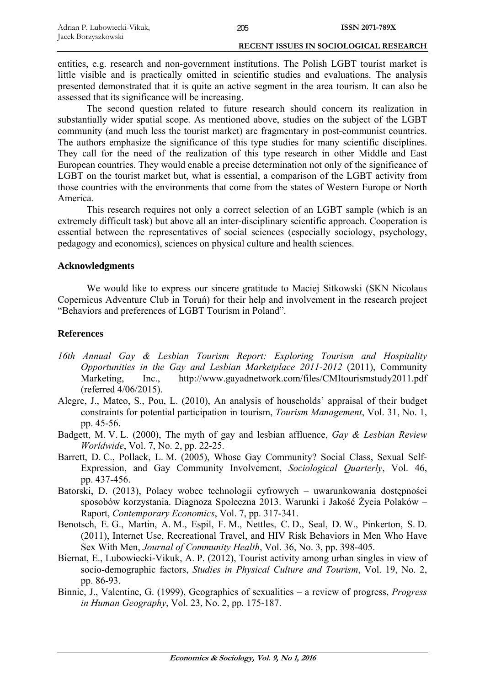entities, e.g. research and non-government institutions. The Polish LGBT tourist market is little visible and is practically omitted in scientific studies and evaluations. The analysis presented demonstrated that it is quite an active segment in the area tourism. It can also be assessed that its significance will be increasing.

The second question related to future research should concern its realization in substantially wider spatial scope. As mentioned above, studies on the subject of the LGBT community (and much less the tourist market) are fragmentary in post-communist countries. The authors emphasize the significance of this type studies for many scientific disciplines. They call for the need of the realization of this type research in other Middle and East European countries. They would enable a precise determination not only of the significance of LGBT on the tourist market but, what is essential, a comparison of the LGBT activity from those countries with the environments that come from the states of Western Europe or North America.

This research requires not only a correct selection of an LGBT sample (which is an extremely difficult task) but above all an inter-disciplinary scientific approach. Cooperation is essential between the representatives of social sciences (especially sociology, psychology, pedagogy and economics), sciences on physical culture and health sciences.

## **Acknowledgments**

We would like to express our sincere gratitude to Maciej Sitkowski (SKN Nicolaus Copernicus Adventure Club in Toruń) for their help and involvement in the research project "Behaviors and preferences of LGBT Tourism in Poland".

### **References**

- *16th Annual Gay & Lesbian Tourism Report: Exploring Tourism and Hospitality Opportunities in the Gay and Lesbian Marketplace 2011-2012* (2011), Community Marketing, Inc., http://www.gayadnetwork.com/files/CMItourismstudy2011.pdf (referred 4/06/2015).
- Alegre, J., Mateo, S., Pou, L. (2010), An analysis of households' appraisal of their budget constraints for potential participation in tourism, *Tourism Management*, Vol. 31, No. 1, pp. 45-56.
- Badgett, M. V. L. (2000), The myth of gay and lesbian affluence, *Gay & Lesbian Review Worldwide*, Vol. 7, No. 2, pp. 22-25.
- Barrett, D. C., Pollack, L. M. (2005), Whose Gay Community? Social Class, Sexual Self-Expression, and Gay Community Involvement, *Sociological Quarterly*, Vol. 46, pp. 437-456.
- Batorski, D. (2013), Polacy wobec technologii cyfrowych uwarunkowania dostępności sposobów korzystania. Diagnoza Społeczna 2013. Warunki i Jakość Życia Polaków – Raport, *Contemporary Economics*, Vol. 7, pp. 317-341.
- Benotsch, E. G., Martin, A. M., Espil, F. M., Nettles, C. D., Seal, D. W., Pinkerton, S. D. (2011), Internet Use, Recreational Travel, and HIV Risk Behaviors in Men Who Have Sex With Men, *Journal of Community Health*, Vol. 36, No. 3, pp. 398-405.
- Biernat, E., Lubowiecki-Vikuk, A. P. (2012), Tourist activity among urban singles in view of socio-demographic factors, *Studies in Physical Culture and Tourism*, Vol. 19, No. 2, pp. 86-93.
- Binnie, J., Valentine, G. (1999), Geographies of sexualities a review of progress, *Progress in Human Geography*, Vol. 23, No. 2, pp. 175-187.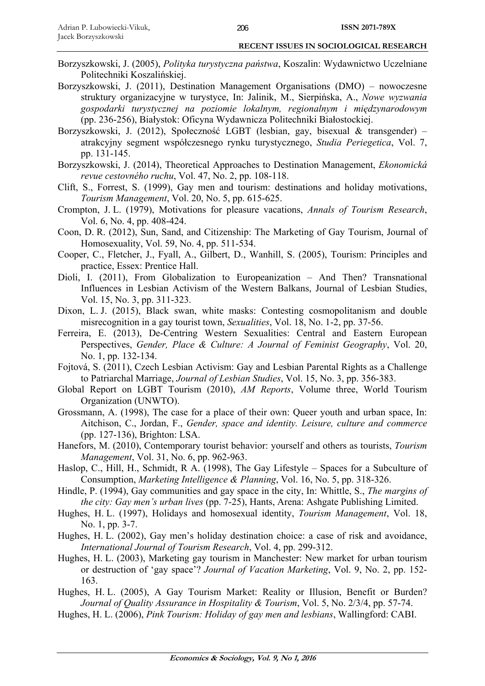- Borzyszkowski, J. (2005), *Polityka turystyczna państwa*, Koszalin: Wydawnictwo Uczelniane Politechniki Koszalińskiej.
- Borzyszkowski, J. (2011), Destination Management Organisations (DMO) nowoczesne struktury organizacyjne w turystyce, In: Jalinik, M., Sierpińska, A., *Nowe wyzwania gospodarki turystycznej na poziomie lokalnym, regionalnym i międzynarodowym* (pp. 236-256), Białystok: Oficyna Wydawnicza Politechniki Białostockiej.
- Borzyszkowski, J. (2012), Społeczność LGBT (lesbian, gay, bisexual & transgender) atrakcyjny segment współczesnego rynku turystycznego, *Studia Periegetica*, Vol. 7, pp. 131-145.
- Borzyszkowski, J. (2014), Theoretical Approaches to Destination Management, *Ekonomická revue cestovného ruchu*, Vol. 47, No. 2, pp. 108-118.
- Clift, S., Forrest, S. (1999), Gay men and tourism: destinations and holiday motivations, *Tourism Management*, Vol. 20, No. 5, pp. 615-625.
- Crompton, J. L. (1979), Motivations for pleasure vacations, *Annals of Tourism Research*, Vol. 6, No. 4, pp. 408-424.
- Coon, D. R. (2012), Sun, Sand, and Citizenship: The Marketing of Gay Tourism, Journal of Homosexuality, Vol. 59, No. 4, pp. 511-534.
- Cooper, C., Fletcher, J., Fyall, A., Gilbert, D., Wanhill, S. (2005), Tourism: Principles and practice, Essex: Prentice Hall.
- Dioli, I. (2011), From Globalization to Europeanization And Then? Transnational Influences in Lesbian Activism of the Western Balkans, Journal of Lesbian Studies, Vol. 15, No. 3, pp. 311-323.
- Dixon, L. J. (2015), Black swan, white masks: Contesting cosmopolitanism and double misrecognition in a gay tourist town, *Sexualities*, Vol. 18, No. 1-2, pp. 37-56.
- Ferreira, E. (2013), De-Centring Western Sexualities: Central and Eastern European Perspectives, *Gender, Place & Culture: A Journal of Feminist Geography*, Vol. 20, No. 1, pp. 132-134.
- Fojtová, S. (2011), Czech Lesbian Activism: Gay and Lesbian Parental Rights as a Challenge to Patriarchal Marriage, *Journal of Lesbian Studies*, Vol. 15, No. 3, pp. 356-383.
- Global Report on LGBT Tourism (2010), *AM Reports*, Volume three, World Tourism Organization (UNWTO).
- Grossmann, A. (1998), The case for a place of their own: Queer youth and urban space, In: Aitchison, C., Jordan, F., *Gender, space and identity. Leisure, culture and commerce* (pp. 127-136), Brighton: LSA.
- Hanefors, M. (2010), Contemporary tourist behavior: yourself and others as tourists, *Tourism Management*, Vol. 31, No. 6, pp. 962-963.
- Haslop, C., Hill, H., Schmidt, R A. (1998), The Gay Lifestyle Spaces for a Subculture of Consumption, *Marketing Intelligence & Planning*, Vol. 16, No. 5, pp. 318-326.
- Hindle, P. (1994), Gay communities and gay space in the city, In: Whittle, S., *The margins of the city: Gay men's urban lives* (pp. 7-25), Hants, Arena: Ashgate Publishing Limited.
- Hughes, H. L. (1997), Holidays and homosexual identity, *Tourism Management*, Vol. 18, No. 1, pp. 3-7.
- Hughes, H. L. (2002), Gay men's holiday destination choice: a case of risk and avoidance, *International Journal of Tourism Research*, Vol. 4, pp. 299-312.
- Hughes, H. L. (2003), Marketing gay tourism in Manchester: New market for urban tourism or destruction of 'gay space'? *Journal of Vacation Marketing*, Vol. 9, No. 2, pp. 152- 163.
- Hughes, H. L. (2005), A Gay Tourism Market: Reality or Illusion, Benefit or Burden? *Journal of Quality Assurance in Hospitality & Tourism*, Vol. 5, No. 2/3/4, pp. 57-74.
- Hughes, H. L. (2006), *Pink Tourism: Holiday of gay men and lesbians*, Wallingford: CABI.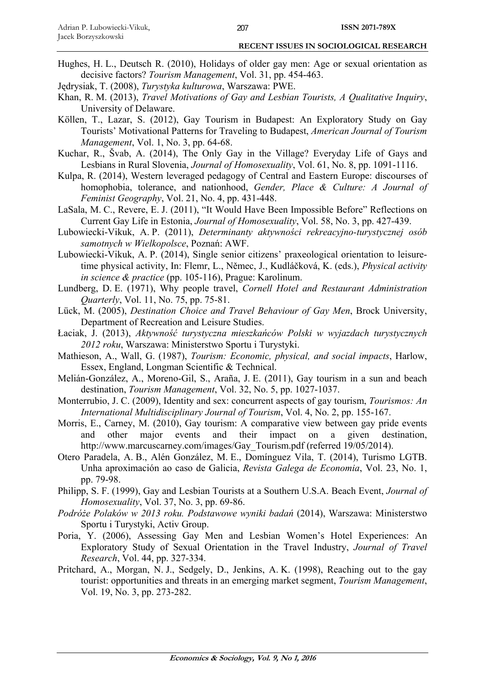- Hughes, H. L., Deutsch R. (2010), Holidays of older gay men: Age or sexual orientation as decisive factors? *Tourism Management*, Vol. 31, pp. 454-463.
- Jędrysiak, T. (2008), *Turystyka kulturowa*, Warszawa: PWE.
- Khan, R. M. (2013), *Travel Motivations of Gay and Lesbian Tourists, A Qualitative Inquiry*, University of Delaware.
- Köllen, T., Lazar, S. (2012), Gay Tourism in Budapest: An Exploratory Study on Gay Tourists' Motivational Patterns for Traveling to Budapest, *American Journal of Tourism Management*, Vol. 1, No. 3, pp. 64-68.
- Kuchar, R., Švab, A. (2014), The Only Gay in the Village? Everyday Life of Gays and Lesbians in Rural Slovenia, *Journal of Homosexuality*, Vol. 61, No. 8, pp. 1091-1116.
- Kulpa, R. (2014), Western leveraged pedagogy of Central and Eastern Europe: discourses of homophobia, tolerance, and nationhood, *Gender, Place & Culture: A Journal of Feminist Geography*, Vol. 21, No. 4, pp. 431-448.
- LaSala, M. C., Revere, E. J. (2011), "It Would Have Been Impossible Before" Reflections on Current Gay Life in Estonia, *Journal of Homosexuality*, Vol. 58, No. 3, pp. 427-439.
- Lubowiecki-Vikuk, A. P. (2011), *Determinanty aktywności rekreacyjno-turystycznej osób samotnych w Wielkopolsce*, Poznań: AWF.
- Lubowiecki-Vikuk, A. P. (2014), Single senior citizens' praxeological orientation to leisuretime physical activity, In: Flemr, L., Němec, J., Kudláčková, K. (eds.), *Physical activity in science & practice* (pp. 105-116), Prague: Karolinum.
- Lundberg, D. E. (1971), Why people travel, *Cornell Hotel and Restaurant Administration Quarterly*, Vol. 11, No. 75, pp. 75-81.
- Lück, M. (2005), *Destination Choice and Travel Behaviour of Gay Men*, Brock University, Department of Recreation and Leisure Studies.
- Łaciak, J. (2013), *Aktywność turystyczna mieszkańców Polski w wyjazdach turystycznych 2012 roku*, Warszawa: Ministerstwo Sportu i Turystyki.
- Mathieson, A., Wall, G. (1987), *Tourism: Economic, physical, and social impacts*, Harlow, Essex, England, Longman Scientific & Technical.
- Melián-González, A., Moreno-Gil, S., Araña, J. E. (2011), Gay tourism in a sun and beach destination, *Tourism Management*, Vol. 32, No. 5, pp. 1027-1037.
- Monterrubio, J. C. (2009), Identity and sex: concurrent aspects of gay tourism, *Tourismos: An International Multidisciplinary Journal of Tourism*, Vol. 4, No. 2, pp. 155-167.
- Morris, E., Carney, M. (2010), Gay tourism: A comparative view between gay pride events and other major events and their impact on a given destination, http://www.marcuscarney.com/images/Gay\_Tourism.pdf (referred 19/05/2014).
- Otero Paradela, A. B., Alén González, M. E., Domínguez Vila, T. (2014), Turismo LGTB. Unha aproximación ao caso de Galicia, *Revista Galega de Economia*, Vol. 23, No. 1, pp. 79-98.
- Philipp, S. F. (1999), Gay and Lesbian Tourists at a Southern U.S.A. Beach Event, *Journal of Homosexuality*, Vol. 37, No. 3, pp. 69-86.
- *Podróże Polaków w 2013 roku. Podstawowe wyniki badań* (2014), Warszawa: Ministerstwo Sportu i Turystyki, Activ Group.
- Poria, Y. (2006), Assessing Gay Men and Lesbian Women's Hotel Experiences: An Exploratory Study of Sexual Orientation in the Travel Industry, *Journal of Travel Research*, Vol. 44, pp. 327-334.
- Pritchard, A., Morgan, N. J., Sedgely, D., Jenkins, A. K. (1998), Reaching out to the gay tourist: opportunities and threats in an emerging market segment, *Tourism Management*, Vol. 19, No. 3, pp. 273-282.